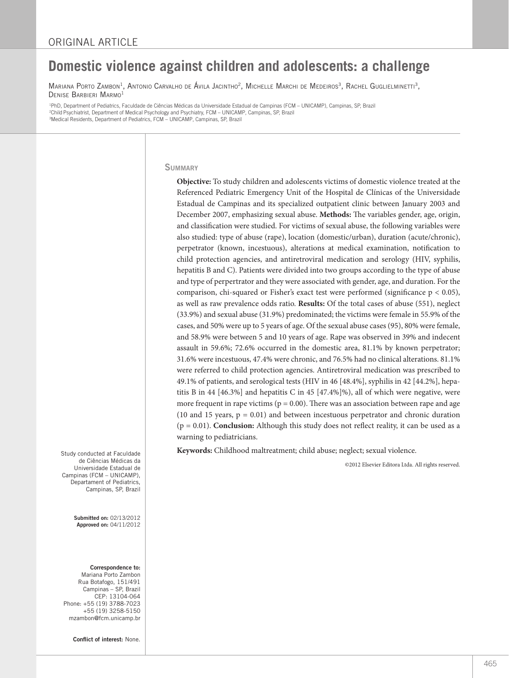# **Domestic violence against children and adolescents: a challenge**

Mariana Porto Zambon<sup>1</sup>, Antonio Carvalho de Ávila Jacintho<sup>2</sup>, Michelle Marchi de Medeiros<sup>3</sup>, Rachel Guglielminetti<sup>3</sup>, Denise Barbieri Marmo1

1 PhD, Department of Pediatrics, Faculdade de Ciências Médicas da Universidade Estadual de Campinas (FCM – UNICAMP), Campinas, SP, Brazil <sup>2</sup>Child Psychiatrist, Department of Medical Psychology and Psychiatry, FCM – UNICAMP, Campinas, SP, Brazil<br><sup>3</sup>Medical Residents, Department of Pediatrics, FCM – UNICΔMP, Campinas, SP, Brazil <sup>3</sup>Medical Residents, Department of Pediatrics, FCM - UNICAMP, Campinas, SP, Brazil

## **SUMMARY**

**Objective:** To study children and adolescents victims of domestic violence treated at the Referenced Pediatric Emergency Unit of the Hospital de Clínicas of the Universidade Estadual de Campinas and its specialized outpatient clinic between January 2003 and December 2007, emphasizing sexual abuse. **Methods:** The variables gender, age, origin, and classification were studied. For victims of sexual abuse, the following variables were also studied: type of abuse (rape), location (domestic/urban), duration (acute/chronic), perpetrator (known, incestuous), alterations at medical examination, notification to child protection agencies, and antiretroviral medication and serology (HIV, syphilis, hepatitis B and C). Patients were divided into two groups according to the type of abuse and type of perpertrator and they were associated with gender, age, and duration. For the comparison, chi-squared or Fisher's exact test were performed (significance p < 0.05), as well as raw prevalence odds ratio. **Results:** Of the total cases of abuse (551), neglect (33.9%) and sexual abuse (31.9%) predominated; the victims were female in 55.9% of the cases, and 50% were up to 5 years of age. Of the sexual abuse cases (95), 80% were female, and 58.9% were between 5 and 10 years of age. Rape was observed in 39% and indecent assault in 59.6%; 72.6% occurred in the domestic area, 81.1% by known perpetrator; 31.6% were incestuous, 47.4% were chronic, and 76.5% had no clinical alterations. 81.1% were referred to child protection agencies. Antiretroviral medication was prescribed to 49.1% of patients, and serological tests (HIV in 46 [48.4%], syphilis in 42 [44.2%], hepatitis B in 44 [46.3%] and hepatitis C in 45 [47.4%]%), all of which were negative, were more frequent in rape victims ( $p = 0.00$ ). There was an association between rape and age (10 and 15 years,  $p = 0.01$ ) and between incestuous perpetrator and chronic duration (p = 0.01). **Conclusion:** Although this study does not reflect reality, it can be used as a warning to pediatricians.

**Keywords:** Childhood maltreatment; child abuse; neglect; sexual violence.

©2012 Elsevier Editora Ltda. All rights reserved.

Study conducted at Faculdade de Ciências Médicas da Universidade Estadual de Campinas (FCM – UNICAMP), Departament of Pediatrics, Campinas, SP, Brazil

> Submitted on: 02/13/2012 Approved on: 04/11/2012

#### Correspondence to:

Mariana Porto Zambon Rua Botafogo, 151/491 Campinas – SP, Brazil CEP: 13104-064 Phone: +55 (19) 3788-7023 +55 (19) 3258-5150 mzambon@fcm.unicamp.br

Conflict of interest: None.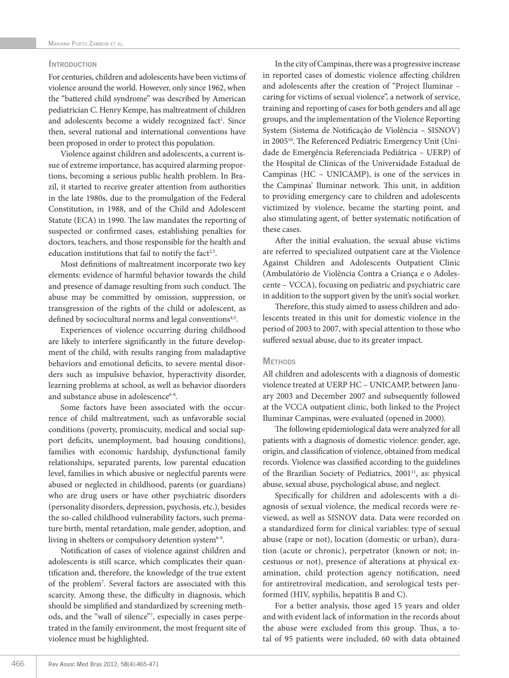## **INTRODUCTION**

For centuries, children and adolescents have been victims of violence around the world. However, only since 1962, when the "battered child syndrome" was described by American pediatrician C. Henry Kempe, has maltreatment of children and adolescents become a widely recognized fact<sup>1</sup>. Since then, several national and international conventions have been proposed in order to protect this population.

Violence against children and adolescents, a current issue of extreme importance, has acquired alarming proportions, becoming a serious public health problem. In Brazil, it started to receive greater attention from authorities in the late 1980s, due to the promulgation of the Federal Constitution, in 1988, and of the Child and Adolescent Statute (ECA) in 1990. The law mandates the reporting of suspected or confirmed cases, establishing penalties for doctors, teachers, and those responsible for the health and education institutions that fail to notify the fact<sup>2,3</sup>.

Most definitions of maltreatment incorporate two key elements: evidence of harmful behavior towards the child and presence of damage resulting from such conduct. The abuse may be committed by omission, suppression, or transgression of the rights of the child or adolescent, as defined by sociocultural norms and legal conventions<sup>4,5</sup>.

Experiences of violence occurring during childhood are likely to interfere significantly in the future development of the child, with results ranging from maladaptive behaviors and emotional deficits, to severe mental disorders such as impulsive behavior, hyperactivity disorder, learning problems at school, as well as behavior disorders and substance abuse in adolescence<sup>6-8</sup>.

Some factors have been associated with the occurrence of child maltreatment, such as unfavorable social conditions (poverty, promiscuity, medical and social support deficits, unemployment, bad housing conditions), families with economic hardship, dysfunctional family relationships, separated parents, low parental education level, families in which abusive or neglectful parents were abused or neglected in childhood, parents (or guardians) who are drug users or have other psychiatric disorders (personality disorders, depression, psychosis, etc.), besides the so-called childhood vulnerability factors, such premature birth, mental retardation, male gender, adoption, and living in shelters or compulsory detention system<sup>6-9</sup>.

Notification of cases of violence against children and adolescents is still scarce, which complicates their quantification and, therefore, the knowledge of the true extent of the problem7 . Several factors are associated with this scarcity. Among these, the difficulty in diagnosis, which should be simplified and standardized by screening methods, and the "wall of silence"7 , especially in cases perpetrated in the family environment, the most frequent site of violence must be highlighted.

In the city of Campinas, there was a progressive increase in reported cases of domestic violence affecting children and adolescents after the creation of "Project Iluminar – caring for victims of sexual violence", a network of service, training and reporting of cases for both genders and all age groups, and the implementation of the Violence Reporting System (Sistema de Notificação de Violência – SISNOV) in 2005<sup>10</sup>. The Referenced Pediatric Emergency Unit (Unidade de Emergência Referenciada Pediátrica – UERP) of the Hospital de Clínicas of the Universidade Estadual de Campinas (HC – UNICAMP), is one of the services in the Campinas' Iluminar network. This unit, in addition to providing emergency care to children and adolescents victimized by violence, became the starting point, and also stimulating agent, of better systematic notification of these cases.

After the initial evaluation, the sexual abuse victims are referred to specialized outpatient care at the Violence Against Children and Adolescents Outpatient Clinic (Ambulatório de Violência Contra a Criança e o Adolescente – VCCA), focusing on pediatric and psychiatric care in addition to the support given by the unit's social worker.

Therefore, this study aimed to assess children and adolescents treated in this unit for domestic violence in the period of 2003 to 2007, with special attention to those who suffered sexual abuse, due to its greater impact.

#### **METHODS**

All children and adolescents with a diagnosis of domestic violence treated at UERP HC – UNICAMP, between January 2003 and December 2007 and subsequently followed at the VCCA outpatient clinic, both linked to the Project Iluminar Campinas, were evaluated (opened in 2000).

The following epidemiological data were analyzed for all patients with a diagnosis of domestic violence: gender, age, origin, and classification of violence, obtained from medical records. Violence was classified according to the guidelines of the Brazilian Society of Pediatrics, 2001<sup>11</sup>, as: physical abuse, sexual abuse, psychological abuse, and neglect.

Specifically for children and adolescents with a diagnosis of sexual violence, the medical records were reviewed, as well as SISNOV data. Data were recorded on a standardized form for clinical variables: type of sexual abuse (rape or not), location (domestic or urban), duration (acute or chronic), perpetrator (known or not; incestuous or not), presence of alterations at physical examination, child protection agency notification, need for antiretroviral medication, and serological tests performed (HIV, syphilis, hepatitis B and C).

For a better analysis, those aged 15 years and older and with evident lack of information in the records about the abuse were excluded from this group. Thus, a total of 95 patients were included, 60 with data obtained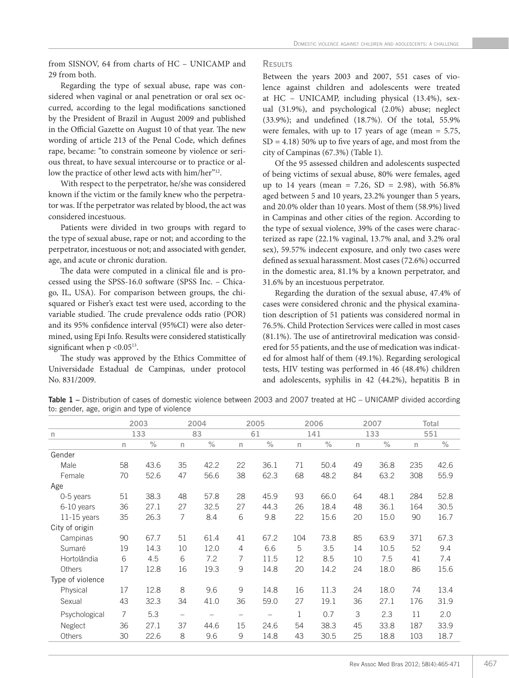from SISNOV, 64 from charts of HC – UNICAMP and 29 from both.

Regarding the type of sexual abuse, rape was considered when vaginal or anal penetration or oral sex occurred, according to the legal modifications sanctioned by the President of Brazil in August 2009 and published in the Official Gazette on August 10 of that year. The new wording of article 213 of the Penal Code, which defines rape, became: "to constrain someone by violence or serious threat, to have sexual intercourse or to practice or allow the practice of other lewd acts with him/her"<sup>12</sup>.

With respect to the perpetrator, he/she was considered known if the victim or the family knew who the perpetrator was. If the perpetrator was related by blood, the act was considered incestuous.

Patients were divided in two groups with regard to the type of sexual abuse, rape or not; and according to the perpetrator, incestuous or not; and associated with gender, age, and acute or chronic duration.

The data were computed in a clinical file and is processed using the SPSS-16.0 software (SPSS Inc. – Chicago, IL, USA). For comparison between groups, the chisquared or Fisher's exact test were used, according to the variable studied. The crude prevalence odds ratio (POR) and its 95% confidence interval (95%CI) were also determined, using Epi Info. Results were considered statistically significant when  $p < 0.05^{13}$ .

The study was approved by the Ethics Committee of Universidade Estadual de Campinas, under protocol No. 831/2009.

## **RESULTS**

Between the years 2003 and 2007, 551 cases of violence against children and adolescents were treated at HC – UNICAMP, including physical (13.4%), sexual (31.9%), and psychological (2.0%) abuse; neglect (33.9%); and undefined (18.7%). Of the total, 55.9% were females, with up to 17 years of age (mean  $= 5.75$ ,  $SD = 4.18$ ) 50% up to five years of age, and most from the city of Campinas (67.3%) (Table 1).

Of the 95 assessed children and adolescents suspected of being victims of sexual abuse, 80% were females, aged up to 14 years (mean = 7.26, SD = 2.98), with  $56.8\%$ aged between 5 and 10 years, 23.2% younger than 5 years, and 20.0% older than 10 years. Most of them (58.9%) lived in Campinas and other cities of the region. According to the type of sexual violence, 39% of the cases were characterized as rape (22.1% vaginal, 13.7% anal, and 3.2% oral sex), 59.57% indecent exposure, and only two cases were defined as sexual harassment. Most cases (72.6%) occurred in the domestic area, 81.1% by a known perpetrator, and 31.6% by an incestuous perpetrator.

Regarding the duration of the sexual abuse, 47.4% of cases were considered chronic and the physical examination description of 51 patients was considered normal in 76.5%. Child Protection Services were called in most cases (81.1%). The use of antiretroviral medication was considered for 55 patients, and the use of medication was indicated for almost half of them (49.1%). Regarding serological tests, HIV testing was performed in 46 (48.4%) children and adolescents, syphilis in 42 (44.2%), hepatitis B in

Table 1 – Distribution of cases of domestic violence between 2003 and 2007 treated at HC – UNICAMP divided according to: gender, age, origin and type of violence

|                  |    | 2003 |                   | 2004 | 2005            |      | 2006         |      | 2007         |      | Total        |      |
|------------------|----|------|-------------------|------|-----------------|------|--------------|------|--------------|------|--------------|------|
| n                |    | 133  |                   | 83   |                 | 61   | 141          |      | 133          |      | 551          |      |
|                  | n  | $\%$ | $\mathsf{n}$      | $\%$ | $\mathsf{n}$    | $\%$ | $\mathsf{n}$ | $\%$ | $\mathsf{n}$ | $\%$ | $\mathsf{n}$ | $\%$ |
| Gender           |    |      |                   |      |                 |      |              |      |              |      |              |      |
| Male             | 58 | 43.6 | 35                | 42.2 | 22              | 36.1 | 71           | 50.4 | 49           | 36.8 | 235          | 42.6 |
| Female           | 70 | 52.6 | 47                | 56.6 | 38              | 62.3 | 68           | 48.2 | 84           | 63.2 | 308          | 55.9 |
| Age              |    |      |                   |      |                 |      |              |      |              |      |              |      |
| 0-5 years        | 51 | 38.3 | 48                | 57.8 | 28              | 45.9 | 93           | 66.0 | 64           | 48.1 | 284          | 52.8 |
| 6-10 years       | 36 | 27.1 | 27                | 32.5 | 27              | 44.3 | 26           | 18.4 | 48           | 36.1 | 164          | 30.5 |
| $11-15$ years    | 35 | 26.3 | 7                 | 8.4  | 6               | 9.8  | 22           | 15.6 | 20           | 15.0 | 90           | 16.7 |
| City of origin   |    |      |                   |      |                 |      |              |      |              |      |              |      |
| Campinas         | 90 | 67.7 | 51                | 61.4 | 41              | 67.2 | 104          | 73.8 | 85           | 63.9 | 371          | 67.3 |
| Sumaré           | 19 | 14.3 | 10                | 12.0 | 4               | 6.6  | 5            | 3.5  | 14           | 10.5 | 52           | 9.4  |
| Hortolândia      | 6  | 4.5  | 6                 | 7.2  | 7               | 11.5 | 12           | 8.5  | 10           | 7.5  | 41           | 7.4  |
| Others           | 17 | 12.8 | 16                | 19.3 | 9               | 14.8 | 20           | 14.2 | 24           | 18.0 | 86           | 15.6 |
| Type of violence |    |      |                   |      |                 |      |              |      |              |      |              |      |
| Physical         | 17 | 12.8 | 8                 | 9.6  | 9               | 14.8 | 16           | 11.3 | 24           | 18.0 | 74           | 13.4 |
| Sexual           | 43 | 32.3 | 34                | 41.0 | 36              | 59.0 | 27           | 19.1 | 36           | 27.1 | 176          | 31.9 |
| Psychological    | 7  | 5.3  | $\qquad \qquad -$ |      | $\qquad \qquad$ | -    | 1            | 0.7  | 3            | 2.3  | 11           | 2.0  |
| Neglect          | 36 | 27.1 | 37                | 44.6 | 15              | 24.6 | 54           | 38.3 | 45           | 33.8 | 187          | 33.9 |
| Others           | 30 | 22.6 | 8                 | 9.6  | 9               | 14.8 | 43           | 30.5 | 25           | 18.8 | 103          | 18.7 |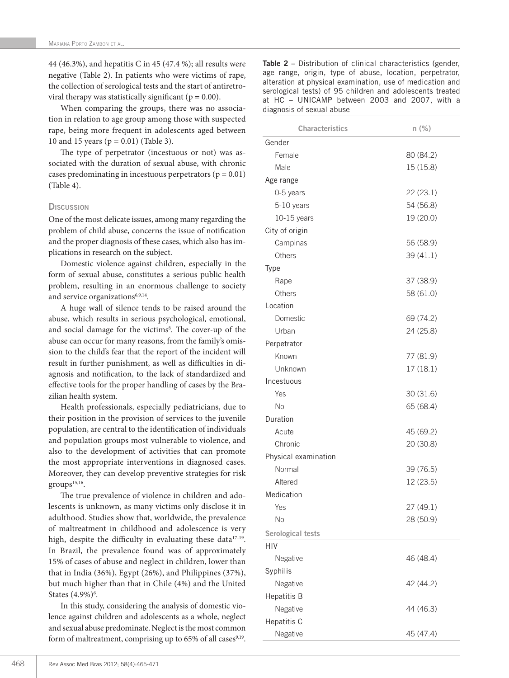44 (46.3%), and hepatitis C in 45 (47.4 %); all results were negative (Table 2). In patients who were victims of rape, the collection of serological tests and the start of antiretroviral therapy was statistically significant ( $p = 0.00$ ).

When comparing the groups, there was no association in relation to age group among those with suspected rape, being more frequent in adolescents aged between 10 and 15 years (p = 0.01) (Table 3).

The type of perpetrator (incestuous or not) was associated with the duration of sexual abuse, with chronic cases predominating in incestuous perpetrators ( $p = 0.01$ ) (Table 4).

# **Discussion**

One of the most delicate issues, among many regarding the problem of child abuse, concerns the issue of notification and the proper diagnosis of these cases, which also has implications in research on the subject.

Domestic violence against children, especially in the form of sexual abuse, constitutes a serious public health problem, resulting in an enormous challenge to society and service organizations<sup>6,9,14</sup>.

A huge wall of silence tends to be raised around the abuse, which results in serious psychological, emotional, and social damage for the victims<sup>8</sup>. The cover-up of the abuse can occur for many reasons, from the family's omission to the child's fear that the report of the incident will result in further punishment, as well as difficulties in diagnosis and notification, to the lack of standardized and effective tools for the proper handling of cases by the Brazilian health system.

Health professionals, especially pediatricians, due to their position in the provision of services to the juvenile population, are central to the identification of individuals and population groups most vulnerable to violence, and also to the development of activities that can promote the most appropriate interventions in diagnosed cases. Moreover, they can develop preventive strategies for risk  $groups<sup>15,16</sup>$ .

The true prevalence of violence in children and adolescents is unknown, as many victims only disclose it in adulthood. Studies show that, worldwide, the prevalence of maltreatment in childhood and adolescence is very high, despite the difficulty in evaluating these data<sup>17-19</sup>. In Brazil, the prevalence found was of approximately 15% of cases of abuse and neglect in children, lower than that in India (36%), Egypt (26%), and Philippines (37%), but much higher than that in Chile (4%) and the United States  $(4.9\%)$ <sup>6</sup>.

In this study, considering the analysis of domestic violence against children and adolescents as a whole, neglect and sexual abuse predominate. Neglect is the most common form of maltreatment, comprising up to  $65\%$  of all cases<sup>9,19</sup>.

Table 2 – Distribution of clinical characteristics (gender, age range, origin, type of abuse, location, perpetrator, alteration at physical examination, use of medication and serological tests) of 95 children and adolescents treated at HC – UNICAMP between 2003 and 2007, with a diagnosis of sexual abuse

| <b>Characteristics</b> | $n$ (%)   |
|------------------------|-----------|
| Gender                 |           |
| Female                 | 80 (84.2) |
| Male                   | 15 (15.8) |
| Age range              |           |
| 0-5 years              | 22(23.1)  |
| 5-10 years             | 54 (56.8) |
| $10-15$ years          | 19 (20.0) |
| City of origin         |           |
| Campinas               | 56 (58.9) |
| Others                 | 39 (41.1) |
| <b>Type</b>            |           |
| Rape                   | 37 (38.9) |
| Others                 | 58 (61.0) |
| Location               |           |
| Domestic               | 69 (74.2) |
| Urban                  | 24 (25.8) |
| Perpetrator            |           |
| Known                  | 77 (81.9) |
| Unknown                | 17(18.1)  |
| Incestuous             |           |
| Yes                    | 30 (31.6) |
| No                     | 65 (68.4) |
| Duration               |           |
| Acute                  | 45 (69.2) |
| Chronic                | 20 (30.8) |
| Physical examination   |           |
| Normal                 | 39 (76.5) |
| Altered                | 12 (23.5) |
| Medication             |           |
| Yes                    | 27 (49.1) |
| <b>No</b>              | 28 (50.9) |
| Serological tests      |           |
| HIV                    |           |
| Negative               | 46 (48.4) |
| Syphilis               |           |
| Negative               | 42 (44.2) |
| Hepatitis B            |           |
| Negative               | 44 (46.3) |
| Hepatitis C            |           |
| Negative               | 45 (47.4) |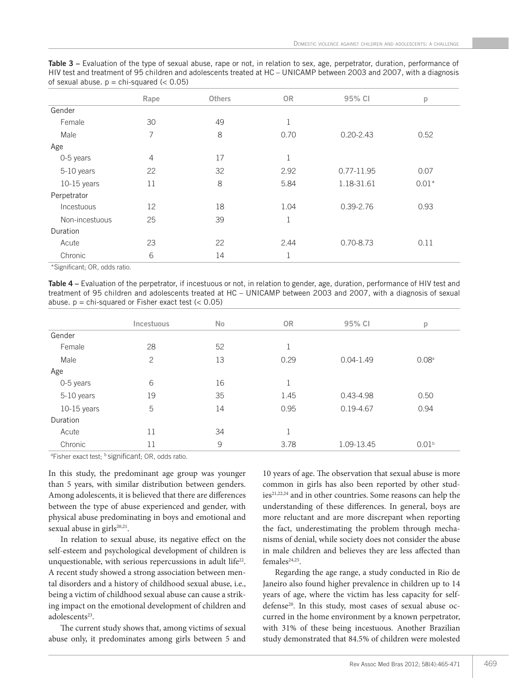|  | Table 3 – Evaluation of the type of sexual abuse, rape or not, in relation to sex, age, perpetrator, duration, performance of |  |  |  |  |  |  |
|--|-------------------------------------------------------------------------------------------------------------------------------|--|--|--|--|--|--|
|  | HIV test and treatment of 95 children and adolescents treated at HC – UNICAMP between 2003 and 2007, with a diagnosis         |  |  |  |  |  |  |
|  | of sexual abuse. $p = \text{chi-squared}$ (< 0.05)                                                                            |  |  |  |  |  |  |

| Rape           | <b>Others</b>                                                                                                                                             | <b>OR</b> | 95% CI        | p       |
|----------------|-----------------------------------------------------------------------------------------------------------------------------------------------------------|-----------|---------------|---------|
|                |                                                                                                                                                           |           |               |         |
| 30             | 49                                                                                                                                                        |           |               |         |
| 7              | 8                                                                                                                                                         | 0.70      | $0.20 - 2.43$ | 0.52    |
|                |                                                                                                                                                           |           |               |         |
| $\overline{4}$ | 17                                                                                                                                                        | 1         |               |         |
| 22             | 32                                                                                                                                                        | 2.92      | 0.77-11.95    | 0.07    |
| 11             | 8                                                                                                                                                         | 5.84      | 1.18-31.61    | $0.01*$ |
|                |                                                                                                                                                           |           |               |         |
| 12             | 18                                                                                                                                                        | 1.04      | $0.39 - 2.76$ | 0.93    |
| 25             | 39                                                                                                                                                        | 1         |               |         |
|                |                                                                                                                                                           |           |               |         |
| 23             | 22                                                                                                                                                        | 2.44      | $0.70 - 8.73$ | 0.11    |
| 6              | 14                                                                                                                                                        | 1         |               |         |
|                | $\mathbf{r} = \mathbf{r}$ , and $\mathbf{r} = \mathbf{r}$ , and $\mathbf{r} = \mathbf{r}$ , and $\mathbf{r} = \mathbf{r}$ , and $\mathbf{r} = \mathbf{r}$ |           |               |         |

\*Significant; OR, odds ratio.

Table 4 – Evaluation of the perpetrator, if incestuous or not, in relation to gender, age, duration, performance of HIV test and treatment of 95 children and adolescents treated at HC – UNICAMP between 2003 and 2007, with a diagnosis of sexual abuse.  $p = \text{chi-squared or Fisher exact test } (< 0.05)$ 

|             | Incestuous | <b>No</b> | <b>OR</b> | 95% CI        | p                 |
|-------------|------------|-----------|-----------|---------------|-------------------|
| Gender      |            |           |           |               |                   |
| Female      | 28         | 52        | 1         |               |                   |
| Male        | 2          | 13        | 0.29      | $0.04 - 1.49$ | 0.08 <sup>a</sup> |
| Age         |            |           |           |               |                   |
| 0-5 years   | 6          | 16        | 1         |               |                   |
| 5-10 years  | 19         | 35        | 1.45      | $0.43 - 4.98$ | 0.50              |
| 10-15 years | 5          | 14        | 0.95      | $0.19 - 4.67$ | 0.94              |
| Duration    |            |           |           |               |                   |
| Acute       | 11         | 34        | 1         |               |                   |
| Chronic     | 11         | 9         | 3.78      | 1.09-13.45    | 0.01 <sup>b</sup> |

<sup>a</sup>Fisher exact test; <sup>b</sup> significant; OR, odds ratio.

In this study, the predominant age group was younger than 5 years, with similar distribution between genders. Among adolescents, it is believed that there are differences between the type of abuse experienced and gender, with physical abuse predominating in boys and emotional and sexual abuse in girls<sup>20,21</sup>.

In relation to sexual abuse, its negative effect on the self-esteem and psychological development of children is unquestionable, with serious repercussions in adult life<sup>22</sup>. A recent study showed a strong association between mental disorders and a history of childhood sexual abuse, i.e., being a victim of childhood sexual abuse can cause a striking impact on the emotional development of children and adolescents<sup>23</sup>.

The current study shows that, among victims of sexual abuse only, it predominates among girls between 5 and

10 years of age. The observation that sexual abuse is more common in girls has also been reported by other studies<sup>21,22,24</sup> and in other countries. Some reasons can help the understanding of these differences. In general, boys are more reluctant and are more discrepant when reporting the fact, underestimating the problem through mechanisms of denial, while society does not consider the abuse in male children and believes they are less affected than  $f$ emales<sup>24,25</sup>.

Regarding the age range, a study conducted in Rio de Janeiro also found higher prevalence in children up to 14 years of age, where the victim has less capacity for selfdefense<sup>20</sup>. In this study, most cases of sexual abuse occurred in the home environment by a known perpetrator, with 31% of these being incestuous. Another Brazilian study demonstrated that 84.5% of children were molested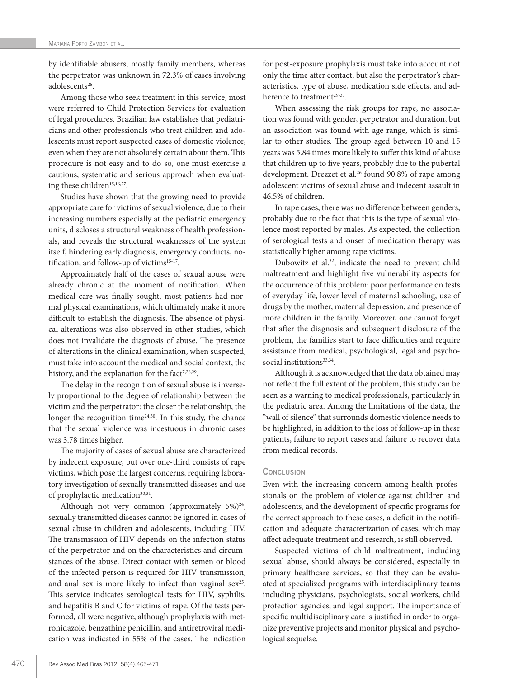by identifiable abusers, mostly family members, whereas the perpetrator was unknown in 72.3% of cases involving adolescents<sup>26</sup>.

Among those who seek treatment in this service, most were referred to Child Protection Services for evaluation of legal procedures. Brazilian law establishes that pediatricians and other professionals who treat children and adolescents must report suspected cases of domestic violence, even when they are not absolutely certain about them. This procedure is not easy and to do so, one must exercise a cautious, systematic and serious approach when evaluating these children<sup>15,16,27</sup>.

Studies have shown that the growing need to provide appropriate care for victims of sexual violence, due to their increasing numbers especially at the pediatric emergency units, discloses a structural weakness of health professionals, and reveals the structural weaknesses of the system itself, hindering early diagnosis, emergency conducts, notification, and follow-up of victims<sup>15-17</sup>.

Approximately half of the cases of sexual abuse were already chronic at the moment of notification. When medical care was finally sought, most patients had normal physical examinations, which ultimately make it more difficult to establish the diagnosis. The absence of physical alterations was also observed in other studies, which does not invalidate the diagnosis of abuse. The presence of alterations in the clinical examination, when suspected, must take into account the medical and social context, the history, and the explanation for the fact<sup>7,28,29</sup>.

The delay in the recognition of sexual abuse is inversely proportional to the degree of relationship between the victim and the perpetrator: the closer the relationship, the longer the recognition time $24,30$ . In this study, the chance that the sexual violence was incestuous in chronic cases was 3.78 times higher.

The majority of cases of sexual abuse are characterized by indecent exposure, but over one-third consists of rape victims, which pose the largest concerns, requiring laboratory investigation of sexually transmitted diseases and use of prophylactic medication<sup>30,31</sup>.

Although not very common (approximately  $5\%$ )<sup>24</sup>, sexually transmitted diseases cannot be ignored in cases of sexual abuse in children and adolescents, including HIV. The transmission of HIV depends on the infection status of the perpetrator and on the characteristics and circumstances of the abuse. Direct contact with semen or blood of the infected person is required for HIV transmission, and anal sex is more likely to infect than vaginal sex<sup>25</sup>. This service indicates serological tests for HIV, syphilis, and hepatitis B and C for victims of rape. Of the tests performed, all were negative, although prophylaxis with metronidazole, benzathine penicillin, and antiretroviral medication was indicated in 55% of the cases. The indication

for post-exposure prophylaxis must take into account not only the time after contact, but also the perpetrator's characteristics, type of abuse, medication side effects, and adherence to treatment<sup>29-31</sup>.

When assessing the risk groups for rape, no association was found with gender, perpetrator and duration, but an association was found with age range, which is similar to other studies. The group aged between 10 and 15 years was 5.84 times more likely to suffer this kind of abuse that children up to five years, probably due to the pubertal development. Drezzet et al.<sup>26</sup> found 90.8% of rape among adolescent victims of sexual abuse and indecent assault in 46.5% of children.

In rape cases, there was no difference between genders, probably due to the fact that this is the type of sexual violence most reported by males. As expected, the collection of serological tests and onset of medication therapy was statistically higher among rape victims.

Dubowitz et al.<sup>32</sup>, indicate the need to prevent child maltreatment and highlight five vulnerability aspects for the occurrence of this problem: poor performance on tests of everyday life, lower level of maternal schooling, use of drugs by the mother, maternal depression, and presence of more children in the family. Moreover, one cannot forget that after the diagnosis and subsequent disclosure of the problem, the families start to face difficulties and require assistance from medical, psychological, legal and psychosocial institutions<sup>33,34</sup>.

Although it is acknowledged that the data obtained may not reflect the full extent of the problem, this study can be seen as a warning to medical professionals, particularly in the pediatric area. Among the limitations of the data, the "wall of silence" that surrounds domestic violence needs to be highlighted, in addition to the loss of follow-up in these patients, failure to report cases and failure to recover data from medical records.

## **CONCLUSION**

Even with the increasing concern among health professionals on the problem of violence against children and adolescents, and the development of specific programs for the correct approach to these cases, a deficit in the notification and adequate characterization of cases, which may affect adequate treatment and research, is still observed.

Suspected victims of child maltreatment, including sexual abuse, should always be considered, especially in primary healthcare services, so that they can be evaluated at specialized programs with interdisciplinary teams including physicians, psychologists, social workers, child protection agencies, and legal support. The importance of specific multidisciplinary care is justified in order to organize preventive projects and monitor physical and psychological sequelae.